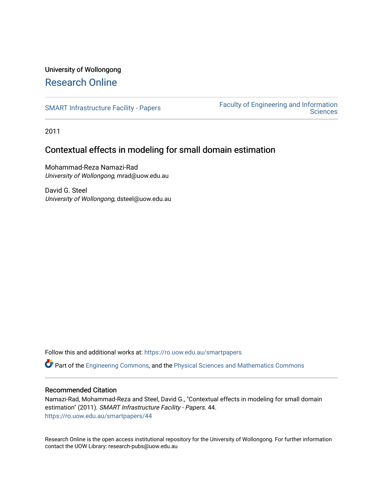# <span id="page-0-0"></span>University of Wollongong [Research Online](https://ro.uow.edu.au/)

[SMART Infrastructure Facility - Papers](https://ro.uow.edu.au/smartpapers) Faculty of Engineering and Information **Sciences** 

2011

# Contextual effects in modeling for small domain estimation

Mohammad-Reza Namazi-Rad University of Wollongong, mrad@uow.edu.au

David G. Steel University of Wollongong, dsteel@uow.edu.au

Follow this and additional works at: [https://ro.uow.edu.au/smartpapers](https://ro.uow.edu.au/smartpapers?utm_source=ro.uow.edu.au%2Fsmartpapers%2F44&utm_medium=PDF&utm_campaign=PDFCoverPages) 

Part of the [Engineering Commons](http://network.bepress.com/hgg/discipline/217?utm_source=ro.uow.edu.au%2Fsmartpapers%2F44&utm_medium=PDF&utm_campaign=PDFCoverPages), and the [Physical Sciences and Mathematics Commons](http://network.bepress.com/hgg/discipline/114?utm_source=ro.uow.edu.au%2Fsmartpapers%2F44&utm_medium=PDF&utm_campaign=PDFCoverPages) 

### Recommended Citation

Namazi-Rad, Mohammad-Reza and Steel, David G., "Contextual effects in modeling for small domain estimation" (2011). SMART Infrastructure Facility - Papers. 44. [https://ro.uow.edu.au/smartpapers/44](https://ro.uow.edu.au/smartpapers/44?utm_source=ro.uow.edu.au%2Fsmartpapers%2F44&utm_medium=PDF&utm_campaign=PDFCoverPages) 

Research Online is the open access institutional repository for the University of Wollongong. For further information contact the UOW Library: research-pubs@uow.edu.au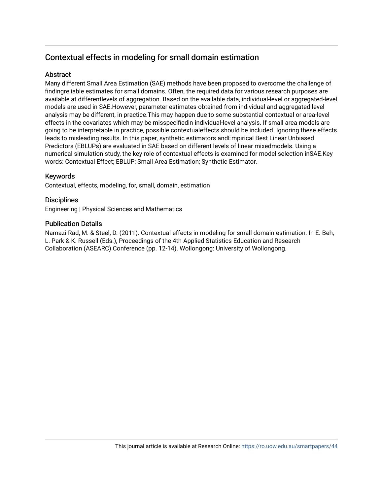## <span id="page-1-0"></span>Contextual effects in modeling for small domain estimation

### **Abstract**

Many different Small Area Estimation (SAE) methods have been proposed to overcome the challenge of findingreliable estimates for small domains. Often, the required data for various research purposes are available at differentlevels of aggregation. Based on the available data, individual-level or aggregated-level models are used in SAE.However, parameter estimates obtained from individual and aggregated level analysis may be different, in practice.This may happen due to some substantial contextual or area-level effects in the covariates which may be misspecifiedin individual-level analysis. If small area models are going to be interpretable in practice, possible contextualeffects should be included. Ignoring these effects leads to misleading results. In this paper, synthetic estimators andEmpirical Best Linear Unbiased Predictors (EBLUPs) are evaluated in SAE based on different levels of linear mixedmodels. Using a numerical simulation study, the key role of contextual effects is examined for model selection inSAE.Key words: Contextual Effect; EBLUP; Small Area Estimation; Synthetic Estimator.

### Keywords

Contextual, effects, modeling, for, small, domain, estimation

### **Disciplines**

Engineering | Physical Sciences and Mathematics

### Publication Details

Namazi-Rad, M. & Steel, D. (2011). Contextual effects in modeling for small domain estimation. In E. Beh, L. Park & K. Russell (Eds.), Proceedings of the 4th Applied Statistics Education and Research Collaboration (ASEARC) Conference (pp. 12-14). Wollongong: University of Wollongong.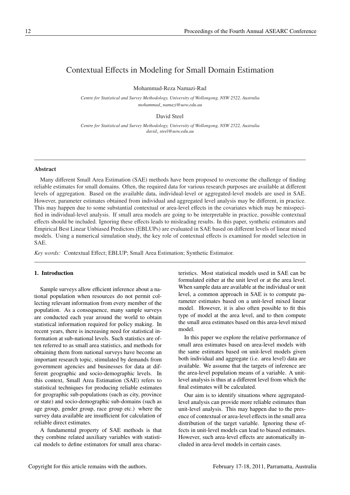### <span id="page-2-0"></span>Contextual Effects in Modeling for Small Domain Estimation

Mohammad-Reza Namazi-Rad

*Centre for Statistical and Survey Methodology, University of Wollongong, NSW 2522, Australia mohammad namazi@uow.edu.au*

David Steel

*Centre for Statistical and Survey Methodology, University of Wollongong, NSW 2522, Australia david steel@uow.edu.au*

#### Abstract

Many different Small Area Estimation (SAE) methods have been proposed to overcome the challenge of finding reliable estimates for small domains. Often, the required data for various research purposes are available at different levels of aggregation. Based on the available data, individual-level or aggregated-level models are used in SAE. However, parameter estimates obtained from individual and aggregated level analysis may be different, in practice. This may happen due to some substantial contextual or area-level effects in the covariates which may be misspecified in individual-level analysis. If small area models are going to be interpretable in practice, possible contextual effects should be included. Ignoring these effects leads to misleading results. In this paper, synthetic estimators and Empirical Best Linear Unbiased Predictors (EBLUPs) are evaluated in SAE based on different levels of linear mixed models. Using a numerical simulation study, the key role of contextual effects is examined for model selection in SAE.

*Key words:* Contextual Effect; EBLUP; Small Area Estimation; Synthetic Estimator.

#### 1. Introduction

Sample surveys allow efficient inference about a national population when resources do not permit collecting relevant information from every member of the population. As a consequence, many sample surveys are conducted each year around the world to obtain statistical information required for policy making. In recent years, there is increasing need for statistical information at sub-national levels. Such statistics are often referred to as small area statistics, and methods for obtaining them from national surveys have become an important research topic, stimulated by demands from government agencies and businesses for data at different geographic and socio-demographic levels. In this context, Small Area Estimation (SAE) refers to statistical techniques for producing reliable estimates for geographic sub-populations (such as city, province or state) and socio-demographic sub-domains (such as age group, gender group, race group etc.) where the survey data available are insufficient for calculation of reliable direct estimates.

A fundamental property of SAE methods is that they combine related auxiliary variables with statistical models to define estimators for small area charac-

teristics. Most statistical models used in SAE can be formulated either at the unit level or at the area level. When sample data are available at the individual or unit level, a common approach in SAE is to compute parameter estimates based on a unit-level mixed linear model. However, it is also often possible to fit this type of model at the area level, and to then compute the small area estimates based on this area-level mixed model.

In this paper we explore the relative performance of small area estimates based on area-level models with the same estimates based on unit-level models given both individual and aggregate (i.e. area level) data are available. We assume that the targets of inference are the area-level population means of a variable. A unitlevel analysis is thus at a different level from which the final estimates will be calculated.

Our aim is to identify situations where aggregatedlevel analysis can provide more reliable estimates than unit-level analysis. This may happen due to the presence of contextual or area-level effects in the small area distribution of the target variable. Ignoring these effects in unit-level models can lead to biased estimates. However, such area-level effects are automatically included in area-level models in certain cases.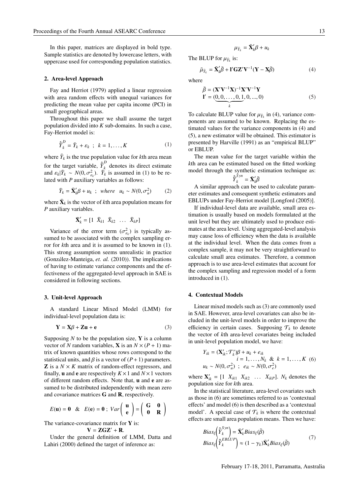In this paper, matrices are displayed in bold type. Sample statistics are denoted by lowercase letters, with uppercase used for corresponding population statistics.

#### 2. Area-level Approach

Fay and Herriot (1979) applied a linear regression with area random effects with unequal variances for predicting the mean value per capita income (PCI) in small geographical areas.

Throughout this paper we shall assume the target population divided into *K* sub-domains. In such a case, Fay-Herriot model is:

$$
\hat{\tilde{Y}}_k^D = \bar{Y}_k + \varepsilon_k \quad ; \quad k = 1, \dots, K \tag{1}
$$

where  $\bar{Y}_k$  is the true population value for *k*th area mean for the target variable,  $\hat{\tilde{Y}}_k^D$  denotes its direct estimate and  $\varepsilon_k |\bar{Y}_k \sim N(0, \sigma_{\varepsilon_k}^2)$ .  $\bar{Y}_k$  is assumed in (1) to be related with *P* auxiliary variables as follows:

$$
\bar{Y}_k = \bar{\mathbf{X}}'_k \boldsymbol{\beta} + u_k \ ; \ \ where \ \ u_k \sim N(0, \sigma_u^2) \tag{2}
$$

where  $\bar{\mathbf{X}}_k$  is the vector of *k*th area population means for *P* auxiliary variables.

$$
\bar{\mathbf{X}}'_k = \begin{bmatrix} 1 & \bar{X}_{k1} & \bar{X}_{k2} & \dots & \bar{X}_{kP} \end{bmatrix}
$$

Variance of the error term  $(\sigma_{\varepsilon_k}^2)$  is typically assumed to be associated with the complex sampling error for *k*th area and it is assumed to be known in (1). This strong assumption seems unrealistic in practice (González-Manteiga, et. al. (2010)). The implications of having to estimate variance components and the effectiveness of the aggregated-level approach in SAE is considered in following sections.

#### 3. Unit-level Approach

A standard Linear Mixed Model (LMM) for individual-level population data is:

$$
\mathbf{Y} = \mathbf{X}\boldsymbol{\beta} + \mathbf{Z}\mathbf{u} + \mathbf{e}
$$
 (3)

Supposing  $N$  to be the population size,  $Y$  is a column vector of *N* random variables, **X** is an  $N \times (P + 1)$  matrix of known quantities whose rows correspond to the statistical units, and  $\beta$  is a vector of  $(P+1)$  parameters. **Z** is a  $N \times K$  matrix of random-effect regressors, and finally, **u** and **e** are respectively  $K \times 1$  and  $N \times 1$  vectors of different random effects. Note that, u and e are assumed to be distributed independently with mean zero and covariance matrices G and R, respectively.

$$
E(\mathbf{u}) = \mathbf{0} \quad \& \quad E(\mathbf{e}) = \mathbf{0} \; ; \; Var\left(\begin{array}{c} \mathbf{u} \\ \mathbf{e} \end{array}\right) = \left(\begin{array}{cc} \mathbf{G} & \mathbf{0} \\ \mathbf{0} & \mathbf{R} \end{array}\right)
$$

The variance-covariance matrix for Y is:  $V = ZGZ' + R$ .

Under the general definition of LMM, Datta and Lahiri (2000) defined the target of inference as:

$$
\mu_{\bar{Y}_k} = \bar{\mathbf{X}}_k' \beta + u_k
$$

The BLUP for  $\mu_{\bar{Y}_k}$  is:

$$
\tilde{\mu}_{\bar{Y}_k} = \bar{\mathbf{X}}_k' \tilde{\beta} + \mathbf{I}' \mathbf{G} \mathbf{Z}' \mathbf{V}^{-1} (\mathbf{Y} - \mathbf{X}\tilde{\beta})
$$
(4)

where

$$
\tilde{\beta} = (\mathbf{X}'\mathbf{V}^{-1}\mathbf{X})^{-1}\mathbf{X}'\mathbf{V}^{-1}\mathbf{Y}
$$
  
\n
$$
\mathbf{I}' = (\underbrace{0,0,\ldots,0,1}_{k},0,\ldots,0)
$$
\n(5)

To calculate BLUP value for  $\mu_{\bar{Y}_k}$  in (4), variance components are assumed to be known. Replacing the estimated values for the variance components in (4) and (5), a new estimator will be obtained. This estimator is presented by Harville (1991) as an "empirical BLUP" or EBLUP.

The mean value for the target variable within the *k*th area can be estimated based on the fitted working model through the synthetic estimation technique as: *S yn*

$$
\hat{\bar{Y}}_k^{Syn}=\bar{\mathbf{X}}_k'\tilde{\beta}
$$

A similar approach can be used to calculate parameter estimates and consequent synthetic estimators and EBLUPs under Fay-Herriot model [Longford (2005)].

If individual-level data are available, small area estimation is usually based on models formulated at the unit level but they are ultimately used to produce estimates at the area level. Using aggregated-level analysis may cause loss of efficiency when the data is available at the individual level. When the data comes from a complex sample, it may not be very straightforward to calculate small area estimates. Therefore, a common approach is to use area-level estimates that account for the complex sampling and regression model of a form introduced in (1).

#### 4. Contextual Models

Linear mixed models such as (3) are commonly used in SAE. However, area-level covariates can also be included in the unit-level models in order to improve the efficiency in certain cases. Supposing  $\mathcal{T}_k$  to denote the vector of *k*th area-level covariates being included in unit-level population model, we have:

$$
Y_{ik} = (\mathbf{X}'_{ik}; \mathcal{T}'_k)\beta + u_k + e_{ik}
$$
  
\n
$$
i = 1, \dots, N_k \& k = 1, \dots, K \quad (6)
$$
  
\n
$$
u_k \sim N(0, \sigma_u^2) \ ; \ e_{ik} \sim N(0, \sigma_e^2)
$$

where  $\mathbf{X}'_{ik} = \begin{bmatrix} 1 & X_{ik1} & X_{ik2} & \dots & X_{ikP} \end{bmatrix}$ .  $N_k$  denotes the population size for *k*th area.

In the statistical literature, area-level covariates such as those in (6) are sometimes referred to as 'contextual effects' and model (6) is then described as a 'contextual model'. A special case of  $\mathcal{T}_k$  is where the contextual effects are small area population means. Then we have:

$$
Bias_{\xi}\left(\hat{\tilde{Y}}_{k}^{Syn}\right) = \bar{\mathbf{X}}_{k}'Bias_{\xi}(\tilde{\beta})
$$
  
\n
$$
Bias_{\xi}\left(\hat{\tilde{Y}}_{k}^{EBLUP}\right) \approx (1 - \gamma_{k})\bar{\mathbf{X}}_{k}'Bias_{\xi}(\tilde{\beta})
$$
\n(7)